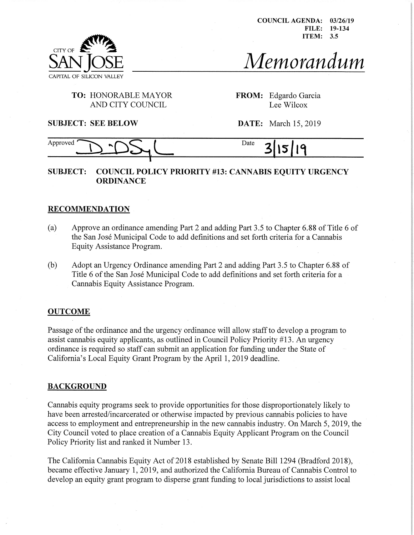COUNCIL AGENDA FILE 19-134 ITEM 3.5 03/26/19



 $M$ emorandum

# **TO:** HONORABLE MAYOR AND CITY COUNCIL

**FROM:** Edgardo Garcia Lee Wilcox

**SUBJECT: SEE BELOW DATE:** March 15, 2019

#### Approved DDDS<sub>1</sub> Date 3 19 15

# **SUBJECT: COUNCIL POLICY PRIORITY #13: CANNABIS EQUITY URGENCY ORDINANCE**

## **RECOMMENDATION**

- (a) Approve an ordinance amending Part 2 and adding Part 3.5 to Chapter 6.88 of Title 6 of the San Jose Municipal Code to add definitions and set forth criteria for a Cannabis Equity Assistance Program.
- (b) Adopt an Urgency Ordinance amending Part 2 and adding Part 3.5 to Chapter 6.88 of Title 6 of the San José Municipal Code to add definitions and set forth criteria for a Cannabis Equity Assistance Program.

### **OUTCOME**

Passage of the ordinance and the urgency ordinance will allow staff to develop a program to assist cannabis equity applicants, as outlined in Council Policy Priority #13. An urgency ordinance is required so staff can submit an application for funding under the State of California's Local Equity Grant Program by the April 1, 2019 deadline.

### **BACKGROUND**

Cannabis equity programs seek to provide opportunities for those disproportionately likely to have been arrested/incarcerated or otherwise impacted by previous cannabis policies to have access to employment and entrepreneurship in the new cannabis industry. On March 5, 2019, the City Council voted to place creation of a Cannabis Equity Applicant Program on the Council Policy Priority list and ranked it Number 13.

The California Cannabis Equity Act of 2018 established by Senate Bill 1294 (Bradford 2018), became effective January 1, 2019, and authorized the California Bureau of Cannabis Control to develop an equity grant program to disperse grant funding to local jurisdictions to assist local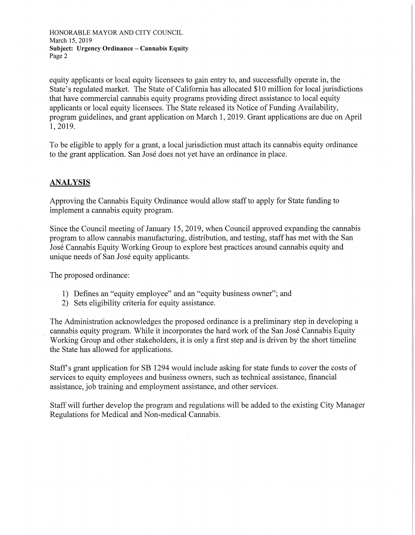HONORABLE MAYOR AND CITY COUNCIL March 15,2019 **Subject: Urgency Ordinance - Cannabis Equity** Page 2

equity applicants or local equity licensees to gain entry to, and successfully operate in, the State's regulated market. The State of California has allocated \$10 million for local jurisdictions that have commercial cannabis equity programs providing direct assistance to local equity applicants or local equity licensees. The State released its Notice of Funding Availability, program guidelines, and grant application on March 1, 2019. Grant applications are due on April 1,2019.

To be eligible to apply for a grant, a local jurisdiction must attach its cannabis equity ordinance to the grant application. San Jose does not yet have an ordinance in place.

#### ANALYSIS

Approving the Cannabis Equity Ordinance would allow staffto apply for State funding to implement a cannabis equity program.

Since the Council meeting of January 15, 2019, when Council approved expanding the cannabis program to allow cannabis manufacturing, distribution, and testing, staff has met with the San Jose Cannabis Equity Working Group to explore best practices around cannabis equity and unique needs of San Jose equity applicants.

The proposed ordinance:

- 1) Defines an "equity employee" and an "equity business owner"; and
- 2) Sets eligibility criteria for equity assistance.

The Administration acknowledges the proposed ordinance is a preliminary step in developing a cannabis equity program. While it incorporates the hard work of the San José Cannabis Equity Working Group and other stakeholders, it is only a first step and is driven by the short timeline the State has allowed for applications.

Staffs grant application for SB 1294 would include asking for state funds to cover the costs of services to equity employees and business owners, such as technical assistance, financial assistance, job training and employment assistance, and other services.

Staff will further develop the program and regulations will be added to the existing City Manager Regulations for Medical and Non-medical Cannabis.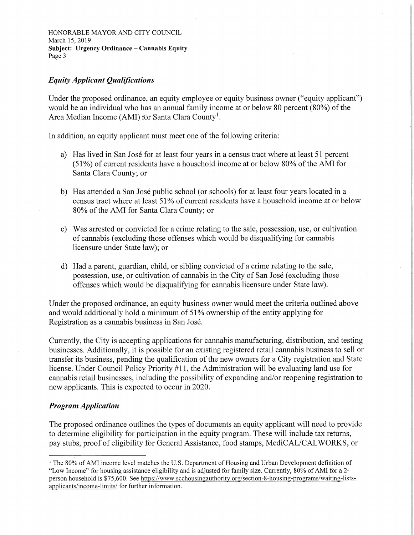HONORABLE MAYOR AND CITY COUNCIL March 15, 2019 **Subject: Urgency Ordinance - Cannabis Equity** Page 3

## *EquityApplicant Qualifications*

Under the proposed ordinance, an equity employee or equity business owner ("equity applicant") would be an individual who has an annual family income at or below 80 percent  $(80\%)$  of the Area Median Income (AMI) for Santa Clara County<sup>1</sup>.

In addition, an equity applicant must meet one of the following criteria:

- a) Has lived in San José for at least four years in a census tract where at least 51 percent (51%) of current residents have a household income at or below 80% of the AMI for Santa Clara County; or
- b) Has attended a San Jose public school (or schools) for at least four years located in a census tract where at least 51% of current residents have a household income at or below 80% of the AMI for Santa Clara County; or
- c) Was arrested or convicted for a crime relating to the sale, possession, use, or cultivation of cannabis (excluding those offenses which would be disqualifying for cannabis licensure under State law); or
- d) Had a parent, guardian, child, or sibling convicted of a crime relating to the sale, possession, use, or cultivation of cannabis in the City of San Jose (excluding those offenses which would be disqualifying for cannabis licensure under State law).

Under the proposed ordinance, an equity business owner would meet the criteria outlined above and would additionally hold a minimum of 51% ownership of the entity applying for Registration as a cannabis business in San Jose.

Currently, the City is accepting applications for cannabis manufacturing, distribution, and testing businesses. Additionally, it is possible for an existing registered retail cannabis business to sell or transfer its business, pending the qualification of the new owners for a City registration and State license. Under Council Policy Priority #11, the Administration will be evaluating land use for cannabis retail businesses, including the possibility of expanding and/or reopening registration to new applicants. This is expected to occur in 2020.

### *Program Application*

The proposed ordinance outlines the types of documents an equity applicant will need to provide to determine eligibility for participation in the equity program. These will include tax returns, pay stubs, proof of eligibility for General Assistance, food stamps, MediCAL/CALWORKS, or

<sup>&</sup>lt;sup>1</sup> The 80% of AMI income level matches the U.S. Department of Housing and Urban Development definition of "Low Income" for housing assistance eligibility and is adjusted for family size. Currently, 80% ofAMI for a 2 person household is \$75,600. See [https://www.scchousingauthoritv.org/section-8-housing-programs/waiting-lists](https://www.scchousingauthoritv.org/section-8-housing-programs/waiting-lists-applicants/income-limits/)[applicants/income-limits/](https://www.scchousingauthoritv.org/section-8-housing-programs/waiting-lists-applicants/income-limits/) for further information.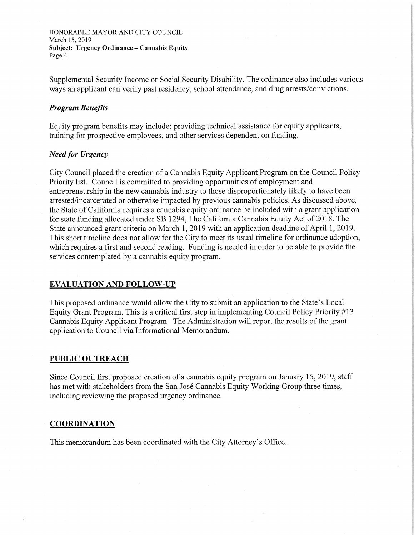HONORABLE MAYOR AND CITY COUNCIL March 15,2019 **Subject: Urgency Ordinance - Cannabis Equity** Page 4

Supplemental Security Income or Social Security Disability. The ordinance also includes various ways an applicant can verify past residency, school attendance, and drug arrests/convictions.

#### *Program Benefits*

Equity program benefits may include: providing technical assistance for equity applicants, training for prospective employees, and other services dependent on funding.

### *Need for Urgency*

City Council placed the creation of a Cannabis Equity Applicant Program on the Council Policy Priority list. Council is committed to providing opportunities of employment and entrepreneurship in the new cannabis industry to those disproportionately likely to have been arrested/incarcerated or otherwise impacted by previous cannabis policies. As discussed above, the State of California requires a cannabis equity ordinance be included with a grant application for state funding allocated under SB 1294, The California Cannabis Equity Act of 2018. The State announced grant criteria on March 1, 2019 with an application deadline of April 1, 2019. This short timeline does not allow for the City to meet its usual timeline for ordinance adoption, which requires a first and second reading. Funding is needed in order to be able to provide the services contemplated by a cannabis equity program.

#### **EVALUATION AND FOLLOW-UP**

This proposed ordinance would allow the City to submit an application to the State's Local Equity Grant Program. This is a critical first step in implementing Council Policy Priority #13 Cannabis Equity Applicant Program. The Administration will report the results of the grant application to Council via Informational Memorandum.

#### **PUBLIC OUTREACH**

Since Council first proposed creation of a cannabis equity program on January 15, 2019, staff has met with stakeholders from the San José Cannabis Equity Working Group three times, including reviewing the proposed urgency ordinance.

#### **COORDINATION**

This memorandum has been coordinated with the City Attorney's Office.